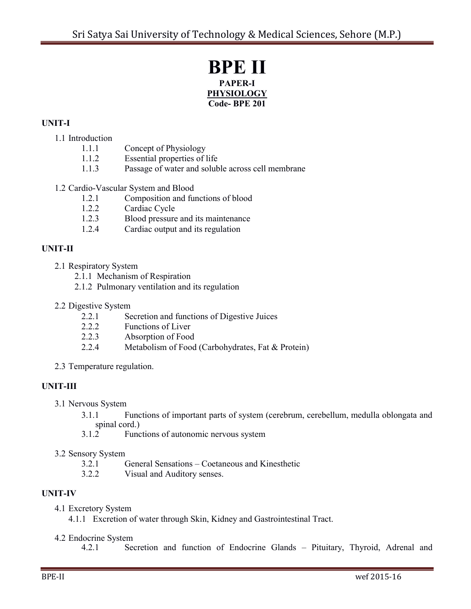## **BPE II PAPER-I PHYSIOLOGY Code- BPE 201**

## **UNIT-I**

## 1.1 Introduction

- 1.1.1 Concept of Physiology
- 1.1.2 Essential properties of life
- 1.1.3 Passage of water and soluble across cell membrane

## 1.2 Cardio-Vascular System and Blood

- 1.2.1 Composition and functions of blood
- 1.2.2 Cardiac Cycle
- 1.2.3 Blood pressure and its maintenance
- 1.2.4 Cardiac output and its regulation

## **UNIT-II**

- 2.1 Respiratory System
	- 2.1.1 Mechanism of Respiration
	- 2.1.2 Pulmonary ventilation and its regulation
- 2.2 Digestive System
	- 2.2.1 Secretion and functions of Digestive Juices
	- 2.2.2 Functions of Liver
	- 2.2.3 Absorption of Food
	- 2.2.4 Metabolism of Food (Carbohydrates, Fat & Protein)
- 2.3 Temperature regulation.

## **UNIT-III**

- 3.1 Nervous System
	- 3.1.1 Functions of important parts of system (cerebrum, cerebellum, medulla oblongata and spinal cord.)
	- 3.1.2 Functions of autonomic nervous system

#### 3.2 Sensory System

- 3.2.1 General Sensations Coetaneous and Kinesthetic
- 3.2.2 Visual and Auditory senses.

## **UNIT-IV**

- 4.1 Excretory System
	- 4.1.1 Excretion of water through Skin, Kidney and Gastrointestinal Tract.

## 4.2 Endocrine System<br>4.2.1 See

Secretion and function of Endocrine Glands – Pituitary, Thyroid, Adrenal and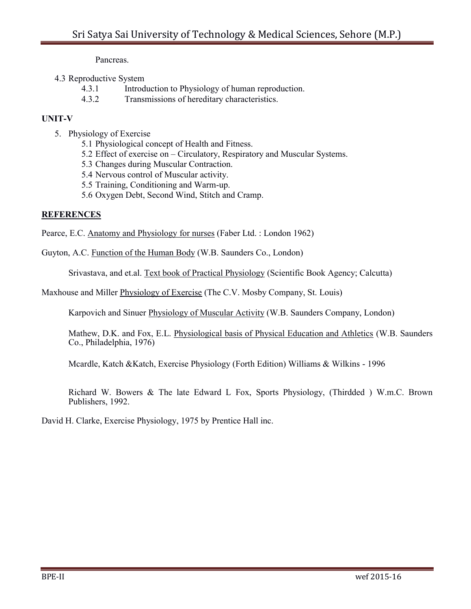Pancreas.

## 4.3 Reproductive System

- 4.3.1 Introduction to Physiology of human reproduction.
- 4.3.2 Transmissions of hereditary characteristics.

## **UNIT-V**

- 5. Physiology of Exercise
	- 5.1 Physiological concept of Health and Fitness.
	- 5.2 Effect of exercise on Circulatory, Respiratory and Muscular Systems.
	- 5.3 Changes during Muscular Contraction.
	- 5.4 Nervous control of Muscular activity.
	- 5.5 Training, Conditioning and Warm-up.
	- 5.6 Oxygen Debt, Second Wind, Stitch and Cramp.

## **REFERENCES**

Pearce, E.C. Anatomy and Physiology for nurses (Faber Ltd. : London 1962)

Guyton, A.C. Function of the Human Body (W.B. Saunders Co., London)

Srivastava, and et.al. Text book of Practical Physiology (Scientific Book Agency; Calcutta)

Maxhouse and Miller Physiology of Exercise (The C.V. Mosby Company, St. Louis)

Karpovich and Sinuer Physiology of Muscular Activity (W.B. Saunders Company, London)

Mathew, D.K. and Fox, E.L. Physiological basis of Physical Education and Athletics (W.B. Saunders Co., Philadelphia, 1976)

Mcardle, Katch &Katch, Exercise Physiology (Forth Edition) Williams & Wilkins - 1996

Richard W. Bowers & The late Edward L Fox, Sports Physiology, (Thirdded ) W.m.C. Brown Publishers, 1992.

David H. Clarke, Exercise Physiology, 1975 by Prentice Hall inc.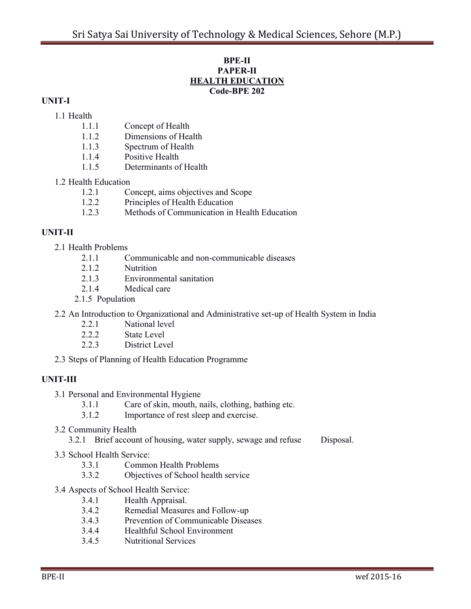#### **BPE-II PAPER-II HEALTH EDUCATION Code-BPE 202**

## **UNIT-I**

## 1.1 Health

- 1.1.1 Concept of Health
- 1.1.2 Dimensions of Health
- 1.1.3 Spectrum of Health
- 1.1.4 Positive Health
- 1.1.5 Determinants of Health

## 1.2 Health Education

- 1.2.1 Concept, aims objectives and Scope
- 1.2.2 Principles of Health Education
- 1.2.3 Methods of Communication in Health Education

## **UNIT-II**

- 2.1 Health Problems
	- 2.1.1 Communicable and non-communicable diseases
	- 2.1.2 Nutrition
	- 2.1.3 Environmental sanitation
	- 2.1.4 Medical care
	- 2.1.5 Population
- 2.2 An Introduction to Organizational and Administrative set-up of Health System in India
	- 2.2.1 National level
	- 2.2.2 State Level
	- 2.2.3 District Level
- 2.3 Steps of Planning of Health Education Programme

## **UNIT-III**

- 3.1 Personal and Environmental Hygiene
	- 3.1.1 Care of skin, mouth, nails, clothing, bathing etc.
	- 3.1.2 Importance of rest sleep and exercise.
- 3.2 Community Health
	- 3.2.1 Brief account of housing, water supply, sewage and refuse Disposal.
- 3.3 School Health Service:
	- 3.3.1 Common Health Problems
	- 3.3.2 Objectives of School health service
- 3.4 Aspects of School Health Service:
	- 3.4.1 Health Appraisal.
	- 3.4.2 Remedial Measures and Follow-up
	- 3.4.3 Prevention of Communicable Diseases
	- 3.4.4 Healthful School Environment
	- 3.4.5 Nutritional Services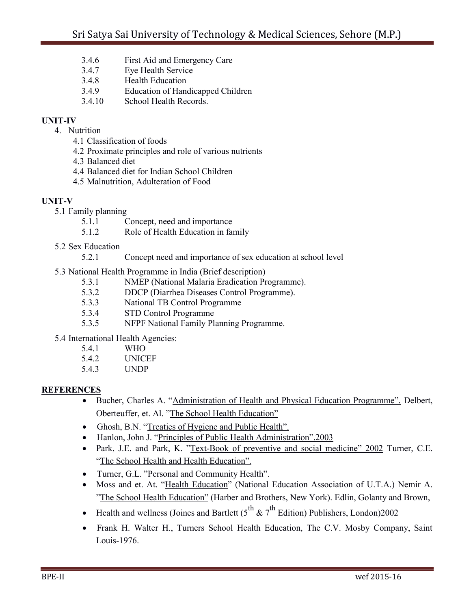- 3.4.6 First Aid and Emergency Care
- 3.4.7 Eye Health Service
- 3.4.8 Health Education
- 3.4.9 Education of Handicapped Children
- 3.4.10 School Health Records.

## **UNIT-IV**

- 4. Nutrition
	- 4.1 Classification of foods
	- 4.2 Proximate principles and role of various nutrients
	- 4.3 Balanced diet
	- 4.4 Balanced diet for Indian School Children
	- 4.5 Malnutrition, Adulteration of Food

## **UNIT-V**

- 5.1 Family planning
	- 5.1.1 Concept, need and importance
	- 5.1.2 Role of Health Education in family
- 5.2 Sex Education
	- 5.2.1 Concept need and importance of sex education at school level
- 5.3 National Health Programme in India (Brief description)
	- 5.3.1 NMEP (National Malaria Eradication Programme).
	- 5.3.2 DDCP (Diarrhea Diseases Control Programme).
	- 5.3.3 National TB Control Programme
	- 5.3.4 STD Control Programme
	- 5.3.5 NFPF National Family Planning Programme.
- 5.4 International Health Agencies:
	- 5.4.1 WHO
	- 5.4.2 UNICEF
	- 5.4.3 UNDP

## **REFERENCES**

- Bucher, Charles A. "Administration of Health and Physical Education Programme". Delbert, Oberteuffer, et. Al. "The School Health Education"
- Ghosh, B.N. "Treaties of Hygiene and Public Health".
- Hanlon, John J. "Principles of Public Health Administration".2003
- Park, J.E. and Park, K. "Text-Book of preventive and social medicine" 2002 Turner, C.E. "The School Health and Health Education".
- Turner, G.L. "Personal and Community Health".
- Moss and et. At. "Health Education" (National Education Association of U.T.A.) Nemir A. "The School Health Education" (Harber and Brothers, New York). Edlin, Golanty and Brown,
- Health and wellness (Joines and Bartlett  $(5^{th} \& 7^{th}$  Edition) Publishers, London)2002
- Frank H. Walter H., Turners School Health Education, The C.V. Mosby Company, Saint Louis-1976.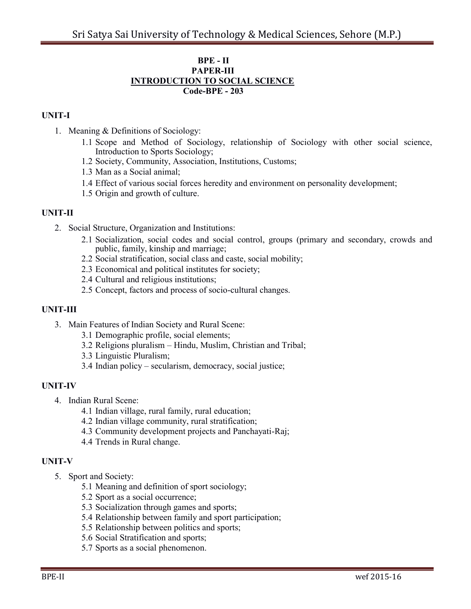#### **BPE - II PAPER-III INTRODUCTION TO SOCIAL SCIENCE Code-BPE - 203**

## **UNIT-I**

- 1. Meaning & Definitions of Sociology:
	- 1.1 Scope and Method of Sociology, relationship of Sociology with other social science, Introduction to Sports Sociology;
	- 1.2 Society, Community, Association, Institutions, Customs;
	- 1.3 Man as a Social animal;
	- 1.4 Effect of various social forces heredity and environment on personality development;
	- 1.5 Origin and growth of culture.

## **UNIT-II**

- 2. Social Structure, Organization and Institutions:
	- 2.1 Socialization, social codes and social control, groups (primary and secondary, crowds and public, family, kinship and marriage;
	- 2.2 Social stratification, social class and caste, social mobility;
	- 2.3 Economical and political institutes for society;
	- 2.4 Cultural and religious institutions;
	- 2.5 Concept, factors and process of socio-cultural changes.

#### **UNIT-III**

- 3. Main Features of Indian Society and Rural Scene:
	- 3.1 Demographic profile, social elements;
	- 3.2 Religions pluralism Hindu, Muslim, Christian and Tribal;
	- 3.3 Linguistic Pluralism;
	- 3.4 Indian policy secularism, democracy, social justice;

#### **UNIT-IV**

- 4. Indian Rural Scene:
	- 4.1 Indian village, rural family, rural education;
	- 4.2 Indian village community, rural stratification;
	- 4.3 Community development projects and Panchayati-Raj;
	- 4.4 Trends in Rural change.

## **UNIT-V**

- 5. Sport and Society:
	- 5.1 Meaning and definition of sport sociology;
	- 5.2 Sport as a social occurrence;
	- 5.3 Socialization through games and sports;
	- 5.4 Relationship between family and sport participation;
	- 5.5 Relationship between politics and sports;
	- 5.6 Social Stratification and sports;
	- 5.7 Sports as a social phenomenon.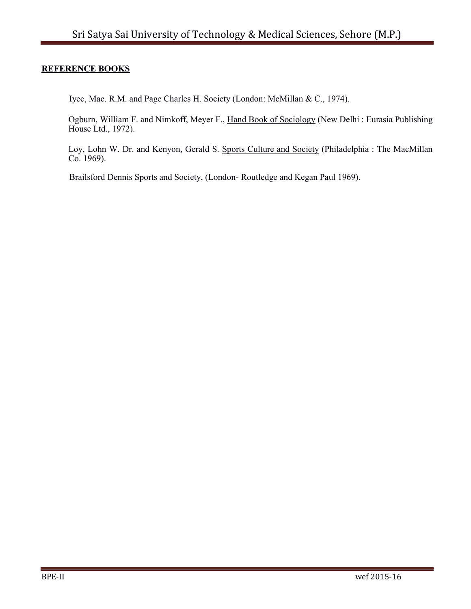## **REFERENCE BOOKS**

Iyec, Mac. R.M. and Page Charles H. Society (London: McMillan & C., 1974).

Ogburn, William F. and Nimkoff, Meyer F., Hand Book of Sociology (New Delhi : Eurasia Publishing House Ltd., 1972).

Loy, Lohn W. Dr. and Kenyon, Gerald S. Sports Culture and Society (Philadelphia : The MacMillan Co. 1969).

Brailsford Dennis Sports and Society, (London- Routledge and Kegan Paul 1969).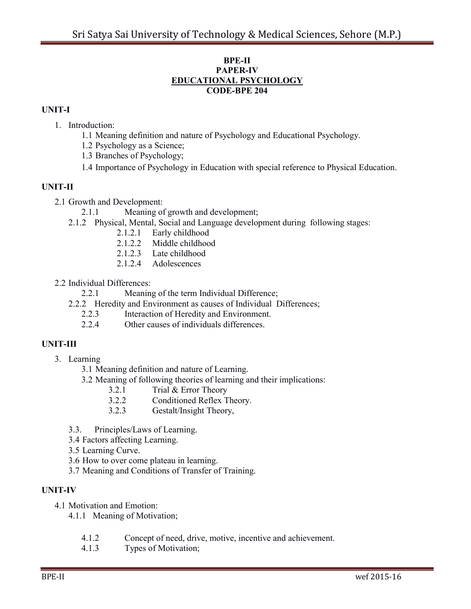#### **BPE-II PAPER-IV EDUCATIONAL PSYCHOLOGY CODE-BPE 204**

## **UNIT-I**

- 1. Introduction:
	- 1.1 Meaning definition and nature of Psychology and Educational Psychology.
	- 1.2 Psychology as a Science;
	- 1.3 Branches of Psychology;
	- 1.4 Importance of Psychology in Education with special reference to Physical Education.

## **UNIT-II**

- 2.1 Growth and Development:
	- 2.1.1 Meaning of growth and development;
	- 2.1.2 Physical, Mental, Social and Language development during following stages:
		- 2.1.2.1 Early childhood
		- 2.1.2.2 Middle childhood
		- 2.1.2.3 Late childhood
		- 2.1.2.4 Adolescences
- 2.2 Individual Differences:
	- 2.2.1 Meaning of the term Individual Difference;
	- 2.2.2 Heredity and Environment as causes of Individual Differences;
		- 2.2.3 Interaction of Heredity and Environment.
		- 2.2.4 Other causes of individuals differences.

## **UNIT-III**

- 3. Learning
	- 3.1 Meaning definition and nature of Learning.
	- 3.2 Meaning of following theories of learning and their implications:
		- 3.2.1 Trial & Error Theory
		- 3.2.2 Conditioned Reflex Theory.
		- 3.2.3 Gestalt/Insight Theory,
	- 3.3. Principles/Laws of Learning.
	- 3.4 Factors affecting Learning.
	- 3.5 Learning Curve.
	- 3.6 How to over come plateau in learning.
	- 3.7 Meaning and Conditions of Transfer of Training.

## **UNIT-IV**

- 4.1 Motivation and Emotion:
	- 4.1.1 Meaning of Motivation;
		- 4.1.2 Concept of need, drive, motive, incentive and achievement.
		- 4.1.3 Types of Motivation;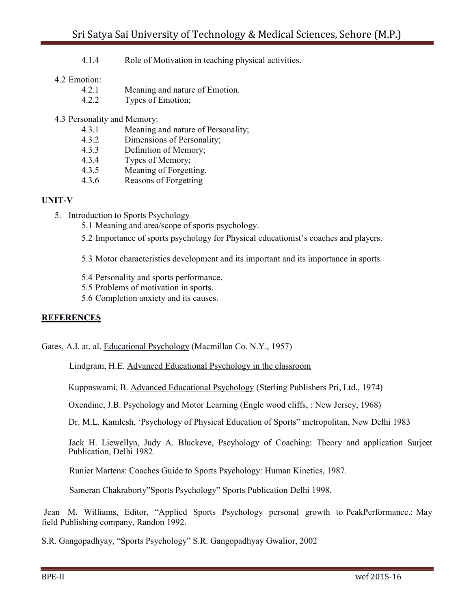4.1.4 Role of Motivation in teaching physical activities.

### 4.2 Emotion:

- 4.2.1 Meaning and nature of Emotion.
- 4.2.2 Types of Emotion;
- 4.3 Personality and Memory:
	- 4.3.1 Meaning and nature of Personality;
	- 4.3.2 Dimensions of Personality;
	- 4.3.3 Definition of Memory;
	- 4.3.4 Types of Memory;
	- 4.3.5 Meaning of Forgetting.
	- 4.3.6 Reasons of Forgetting

## **UNIT-V**

- 5. Introduction to Sports Psychology
	- 5.1 Meaning and area/scope of sports psychology.
	- 5.2 Importance of sports psychology for Physical educationist"s coaches and players.
	- 5.3 Motor characteristics development and its important and its importance in sports.
	- 5.4 Personality and sports performance.
	- 5.5 Problems of motivation in sports.
	- 5.6 Completion anxiety and its causes.

## **REFERENCES**

Gates, A.I. at. al. Educational Psychology (Macmillan Co. N.Y., 1957)

Lindgram, H.E. Advanced Educational Psychology in the classroom

Kuppnswami, B. Advanced Educational Psychology (Sterling Publishers Pri, Ltd., 1974)

Oxendine, J.B. Psychology and Motor Learning (Engle wood cliffs, : New Jersey, 1968)

Dr. M.L. Kamlesh, "Psychology of Physical Education of Sports" metropolitan, New Delhi 1983

Jack H. Liewellyn, Judy A. Bluckeve, Pscyhology of Coaching: Theory and application Surjeet Publication, Delhi 1982.

Runier Martens: Coaches Guide to Sports Psychology: Human Kinetics, 1987.

Sameran Chakraborty"Sports Psychology" Sports Publication Delhi 1998.

Jean M. Williams, Editor, "Applied Sports Psychology personal growth to PeakPerformance.: May field Publishing company, Randon 1992.

S.R. Gangopadhyay, "Sports Psychology" S.R. Gangopadhyay Gwalior, 2002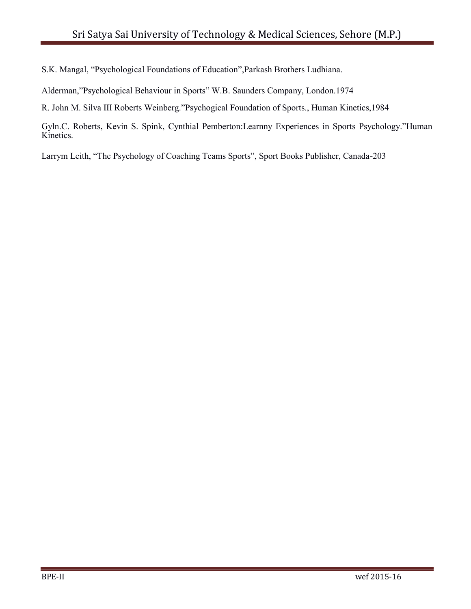S.K. Mangal, "Psychological Foundations of Education",Parkash Brothers Ludhiana.

Alderman,"Psychological Behaviour in Sports" W.B. Saunders Company, London.1974

R. John M. Silva III Roberts Weinberg."Psychogical Foundation of Sports., Human Kinetics,1984

Gyln.C. Roberts, Kevin S. Spink, Cynthial Pemberton:Learnny Experiences in Sports Psychology."Human Kinetics.

Larrym Leith, "The Psychology of Coaching Teams Sports", Sport Books Publisher, Canada-203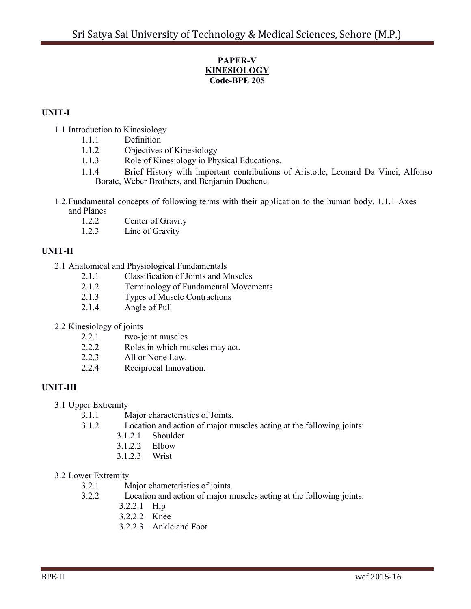## **PAPER-V KINESIOLOGY Code-BPE 205**

## **UNIT-I**

- 1.1 Introduction to Kinesiology
	- 1.1.1 Definition
	- 1.1.2 Objectives of Kinesiology
	- 1.1.3 Role of Kinesiology in Physical Educations.
	- 1.1.4 Brief History with important contributions of Aristotle, Leonard Da Vinci, Alfonso Borate, Weber Brothers, and Benjamin Duchene.
- 1.2.Fundamental concepts of following terms with their application to the human body. 1.1.1 Axes and Planes
	- 1.2.2 Center of Gravity
	- 1.2.3 Line of Gravity

## **UNIT-II**

- 2.1 Anatomical and Physiological Fundamentals
	- 2.1.1 Classification of Joints and Muscles
	- 2.1.2 Terminology of Fundamental Movements
	- 2.1.3 Types of Muscle Contractions
	- 2.1.4 Angle of Pull
- 2.2 Kinesiology of joints
	- 2.2.1 two-joint muscles
	- 2.2.2 Roles in which muscles may act.
	- 2.2.3 All or None Law.
	- 2.2.4 Reciprocal Innovation.

## **UNIT-III**

- 3.1 Upper Extremity
	- 3.1.1 Major characteristics of Joints.
	- 3.1.2 Location and action of major muscles acting at the following joints:
		- 3.1.2.1 Shoulder
		- 3.1.2.2 Elbow
		- 3.1.2.3 Wrist

## 3.2 Lower Extremity

- 3.2.1 Major characteristics of joints.
- 3.2.2 Location and action of major muscles acting at the following joints:
	- 3.2.2.1 Hip
	- 3.2.2.2 Knee
	- 3.2.2.3 Ankle and Foot